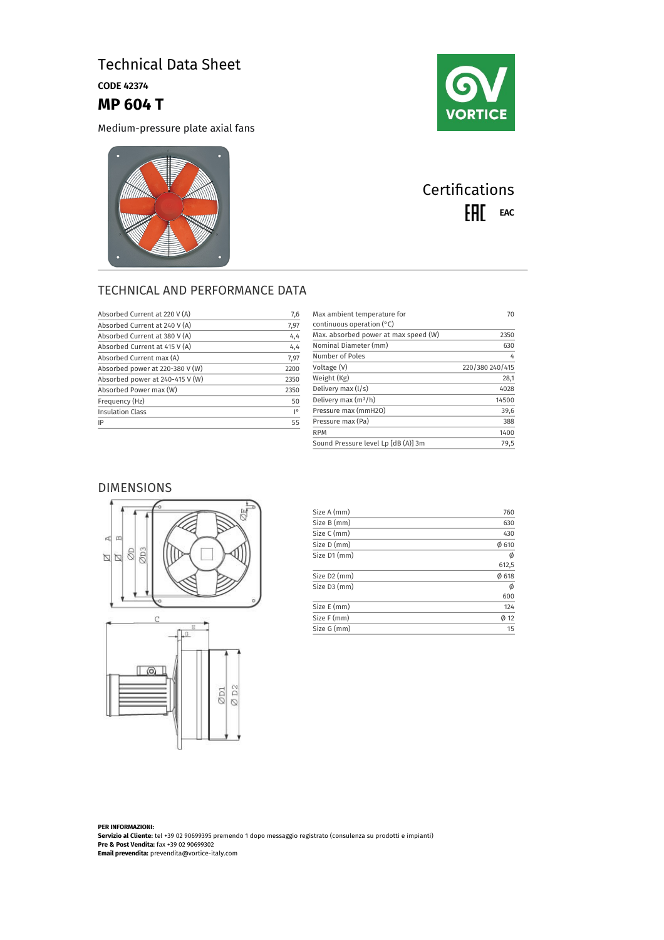## Technical Data Sheet

CODE 42374

**MP 604 T**

Medium-pressure plate axial fans





# **Certifications** EAL EAC

### TECHNICAL AND PERFORMANCE DATA

| Absorbed Current at 220 V (A)   | 7,6                |
|---------------------------------|--------------------|
| Absorbed Current at 240 V (A)   | 7,97               |
| Absorbed Current at 380 V (A)   | 4,4                |
| Absorbed Current at 415 V (A)   | 4,4                |
| Absorbed Current max (A)        | 7,97               |
| Absorbed power at 220-380 V (W) | 2200               |
| Absorbed power at 240-415 V (W) | 2350               |
| Absorbed Power max (W)          | 2350               |
| Frequency (Hz)                  | 50                 |
| <b>Insulation Class</b>         | $\mathsf{I}^\circ$ |
| IP                              | 55                 |
|                                 |                    |

| Max ambient temperature for<br>continuous operation $(°C)$ | 70              |
|------------------------------------------------------------|-----------------|
| Max. absorbed power at max speed (W)                       | 2350            |
| Nominal Diameter (mm)                                      | 630             |
| Number of Poles                                            | 4               |
| Voltage (V)                                                | 220/380 240/415 |
| Weight (Kg)                                                | 28,1            |
| Delivery max (I/s)                                         | 4028            |
| Delivery max $(m^3/h)$                                     | 14500           |
| Pressure max (mmH2O)                                       | 39,6            |
| Pressure max (Pa)                                          | 388             |
| <b>RPM</b>                                                 | 1400            |
| Sound Pressure level Lp [dB (A)] 3m                        | 79,5            |

### DIMENSIONS





| Size A (mm)  | 760        |
|--------------|------------|
| Size B (mm)  | 630        |
| Size C (mm)  | 430        |
| Size D (mm)  | 0610       |
| Size D1 (mm) | Ø          |
|              | 612,5      |
| Size D2 (mm) | $\phi$ 618 |
| Size D3 (mm) | Ø          |
|              | 600        |
| Size E (mm)  | 124        |
| Size F (mm)  | $\phi$ 12  |
| Size G (mm)  | 15         |

**PER INFORMAZIONI: Servizio al Cliente:** tel +39 02 90699395 premendo 1 dopo messaggio registrato (consulenza su prodotti e impianti) **Pre & Post Vendita:** fax +39 02 90699302 **Email prevendita:** prevendita@vortice-italy.com